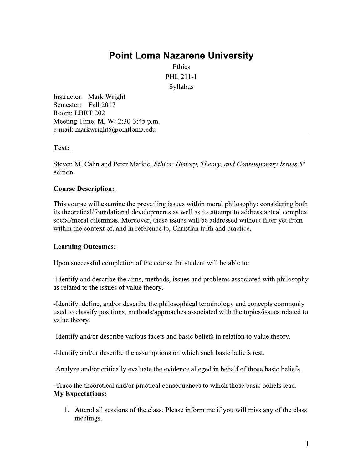# **Point Loma Nazarene University**

Ethics PHL 211-1 Syllabus

Instructor: Mark Wright Semester: Fall 2017 Room: LBRT 202 Meeting Time: M, W: 2:30-3:45 p.m. e-mail: markwright@pointloma.edu

# Text:

Steven M. Cahn and Peter Markie, Ethics: History, Theory, and Contemporary Issues 5th edition.

# **Course Description:**

This course will examine the prevailing issues within moral philosophy; considering both its theoretical/foundational developments as well as its attempt to address actual complex social/moral dilemmas. Moreover, these issues will be addressed without filter yet from within the context of, and in reference to, Christian faith and practice.

# **Learning Outcomes:**

Upon successful completion of the course the student will be able to:

-Identify and describe the aims, methods, issues and problems associated with philosophy as related to the issues of value theory.

-Identify, define, and/or describe the philosophical terminology and concepts commonly used to classify positions, methods/approaches associated with the topics/issues related to value theory.

-Identify and/or describe various facets and basic beliefs in relation to value theory.

-Identify and/or describe the assumptions on which such basic beliefs rest.

-Analyze and/or critically evaluate the evidence alleged in behalf of those basic beliefs.

-Trace the theoretical and/or practical consequences to which those basic beliefs lead. **My Expectations:** 

1. Attend all sessions of the class. Please inform me if you will miss any of the class meetings.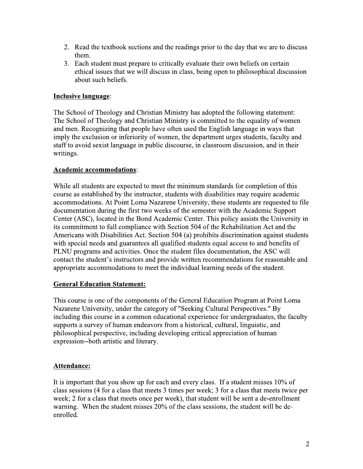- 2. Read the textbook sections and the readings prior to the day that we are to discuss them.
- 3. Each student must prepare to critically evaluate their own beliefs on certain ethical issues that we will discuss in class, being open to philosophical discussion about such beliefs.

# **Inclusive language:**

The School of Theology and Christian Ministry has adopted the following statement: The School of Theology and Christian Ministry is committed to the equality of women and men. Recognizing that people have often used the English language in ways that imply the exclusion or inferiority of women, the department urges students, faculty and staff to avoid sexist language in public discourse, in classroom discussion, and in their writings.

### **Academic accommodations:**

While all students are expected to meet the minimum standards for completion of this course as established by the instructor, students with disabilities may require academic accommodations. At Point Loma Nazarene University, these students are requested to file documentation during the first two weeks of the semester with the Academic Support Center (ASC), located in the Bond Academic Center. This policy assists the University in its commitment to full compliance with Section 504 of the Rehabilitation Act and the Americans with Disabilities Act. Section 504 (a) prohibits discrimination against students with special needs and guarantees all qualified students equal access to and benefits of PLNU programs and activities. Once the student files documentation, the ASC will contact the student's instructors and provide written recommendations for reasonable and appropriate accommodations to meet the individual learning needs of the student.

# **General Education Statement:**

This course is one of the components of the General Education Program at Point Loma Nazarene University, under the category of "Seeking Cultural Perspectives." By including this course in a common educational experience for undergraduates, the faculty supports a survey of human endeavors from a historical, cultural, linguistic, and philosophical perspective, including developing critical appreciation of human expression--both artistic and literary.

# Attendance:

It is important that you show up for each and every class. If a student misses 10% of class sessions (4 for a class that meets 3 times per week; 3 for a class that meets twice per week; 2 for a class that meets once per week), that student will be sent a de-enrollment warning. When the student misses 20% of the class sessions, the student will be deenrolled.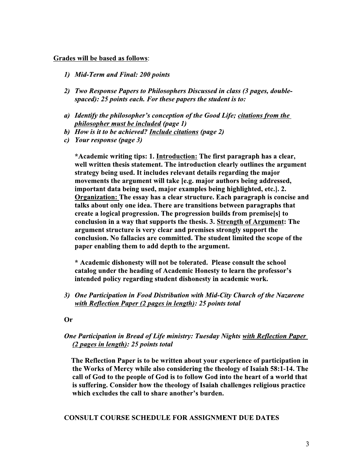#### Grades will be based as follows:

- 1) Mid-Term and Final: 200 points
- 2) Two Response Papers to Philosophers Discussed in class (3 pages, doublespaced): 25 points each. For these papers the student is to:
- a) Identify the philosopher's conception of the Good Life; citations from the philosopher must be included (page 1)
- b) How is it to be achieved? Include citations (page 2)
- c) Your response (page 3)

\*Academic writing tips: 1. Introduction: The first paragraph has a clear, well written thesis statement. The introduction clearly outlines the argument strategy being used. It includes relevant details regarding the major movements the argument will take [e.g. major authors being addressed, important data being used, major examples being highlighted, etc.]. 2. Organization: The essay has a clear structure. Each paragraph is concise and talks about only one idea. There are transitions between paragraphs that create a logical progression. The progression builds from premise[s] to conclusion in a way that supports the thesis. 3. Strength of Argument: The argument structure is very clear and premises strongly support the conclusion. No fallacies are committed. The student limited the scope of the paper enabling them to add depth to the argument.

\* Academic dishonesty will not be tolerated. Please consult the school catalog under the heading of Academic Honesty to learn the professor's intended policy regarding student dishonesty in academic work.

3) One Participation in Food Distribution with Mid-City Church of the Nazarene with Reflection Paper (2 pages in length): 25 points total

**Or** 

### One Participation in Bread of Life ministry: Tuesday Nights with Reflection Paper (2 pages in length): 25 points total

The Reflection Paper is to be written about your experience of participation in the Works of Mercy while also considering the theology of Isaiah 58:1-14. The call of God to the people of God is to follow God into the heart of a world that is suffering. Consider how the theology of Isaiah challenges religious practice which excludes the call to share another's burden.

#### **CONSULT COURSE SCHEDULE FOR ASSIGNMENT DUE DATES**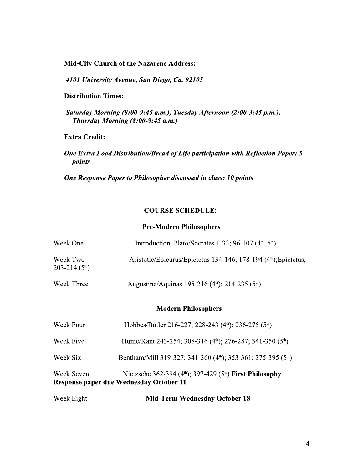### **Mid-City Church of the Nazarene Address:**

4101 University Avenue, San Diego, Ca. 92105

# **Distribution Times:**

Saturday Morning (8:00-9:45 a.m.), Tuesday Afternoon (2:00-3:45 p.m.), Thursday Morning (8:00-9:45 a.m.)

### **Extra Credit:**

One Extra Food Distribution/Bread of Life participation with Reflection Paper: 5 points

One Response Paper to Philosopher discussed in class: 10 points

### **COURSE SCHEDULE:**

#### **Pre-Modern Philosophers**

| Week One                     | Introduction. Plato/Socrates 1-33; 96-107 $(4th, 5th)$                       |  |  |
|------------------------------|------------------------------------------------------------------------------|--|--|
| Week Two<br>$203 - 214(5th)$ | Aristotle/Epicurus/Epictetus 134-146; 178-194 (4 <sup>th</sup> ); Epictetus, |  |  |
| Week Three                   | Augustine/Aquinas 195-216 (4th); 214-235 (5th)                               |  |  |

### **Modern Philosophers**

| Week Seven | Nietzsche 362-394 (4 <sup>th</sup> ); 397-429 (5 <sup>th</sup> ) First Philosophy<br><b>Response paper due Wednesday October 11</b> |
|------------|-------------------------------------------------------------------------------------------------------------------------------------|
| Week Six   | Bentham/Mill 319-327; 341-360 (4 <sup>th</sup> ); 353-361; 375-395 (5 <sup>th</sup> )                                               |
| Week Five  | Hume/Kant 243-254; 308-316 (4th); 276-287; 341-350 (5th)                                                                            |
| Week Four  | Hobbes/Butler 216-227; 228-243 (4 <sup>th</sup> ); 236-275 (5 <sup>th</sup> )                                                       |

| Week Eight | <b>Mid-Term Wednesday October 18</b> |  |
|------------|--------------------------------------|--|
|            |                                      |  |